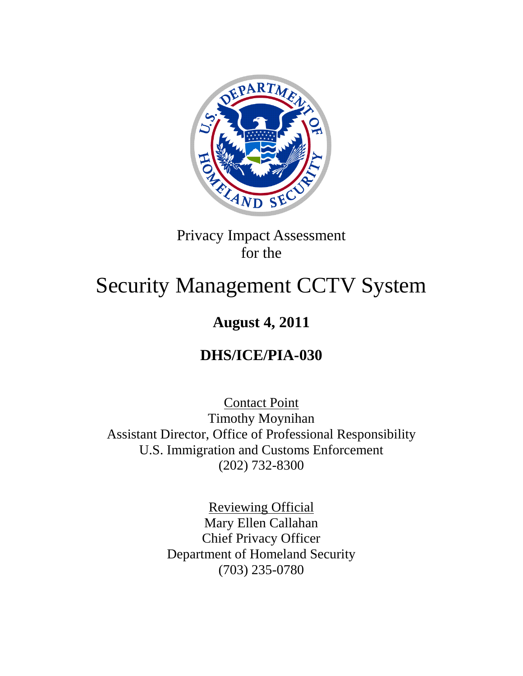

## Privacy Impact Assessment for the

# Security Management CCTV System

## **August 4, 2011**

## **DHS/ICE/PIA-030**

Contact Point Timothy Moynihan Assistant Director, Office of Professional Responsibility U.S. Immigration and Customs Enforcement (202) 732-8300

> Reviewing Official Mary Ellen Callahan Chief Privacy Officer Department of Homeland Security (703) 235-0780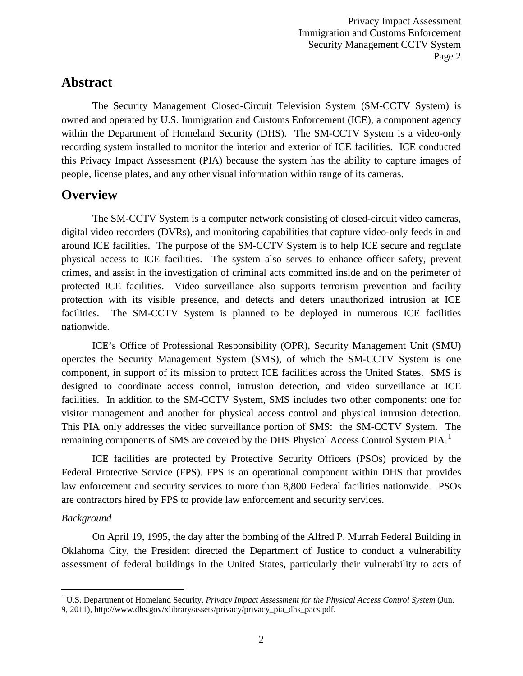#### **Abstract**

The Security Management Closed-Circuit Television System (SM-CCTV System) is owned and operated by U.S. Immigration and Customs Enforcement (ICE), a component agency within the Department of Homeland Security (DHS). The SM-CCTV System is a video-only recording system installed to monitor the interior and exterior of ICE facilities. ICE conducted this Privacy Impact Assessment (PIA) because the system has the ability to capture images of people, license plates, and any other visual information within range of its cameras.

#### **Overview**

The SM-CCTV System is a computer network consisting of closed-circuit video cameras, digital video recorders (DVRs), and monitoring capabilities that capture video-only feeds in and around ICE facilities. The purpose of the SM-CCTV System is to help ICE secure and regulate physical access to ICE facilities. The system also serves to enhance officer safety, prevent crimes, and assist in the investigation of criminal acts committed inside and on the perimeter of protected ICE facilities. Video surveillance also supports terrorism prevention and facility protection with its visible presence, and detects and deters unauthorized intrusion at ICE facilities. The SM-CCTV System is planned to be deployed in numerous ICE facilities nationwide.

ICE's Office of Professional Responsibility (OPR), Security Management Unit (SMU) operates the Security Management System (SMS), of which the SM-CCTV System is one component, in support of its mission to protect ICE facilities across the United States. SMS is designed to coordinate access control, intrusion detection, and video surveillance at ICE facilities. In addition to the SM-CCTV System, SMS includes two other components: one for visitor management and another for physical access control and physical intrusion detection. This PIA only addresses the video surveillance portion of SMS: the SM-CCTV System. The remaining components of SMS are covered by the DHS Physical Access Control System PIA.<sup>[1](#page-1-0)</sup>

ICE facilities are protected by Protective Security Officers (PSOs) provided by the Federal Protective Service (FPS). FPS is an operational component within DHS that provides law enforcement and security services to more than 8,800 Federal facilities nationwide. PSOs are contractors hired by FPS to provide law enforcement and security services.

#### *Background*

On April 19, 1995, the day after the bombing of the Alfred P. Murrah Federal Building in Oklahoma City, the President directed the Department of Justice to conduct a vulnerability assessment of federal buildings in the United States, particularly their vulnerability to acts of

<span id="page-1-0"></span> <sup>1</sup> U.S. Department of Homeland Security, *Privacy Impact Assessment for the Physical Access Control System* (Jun. 9, 2011), http://www.dhs.gov/xlibrary/assets/privacy/privacy\_pia\_dhs\_pacs.pdf.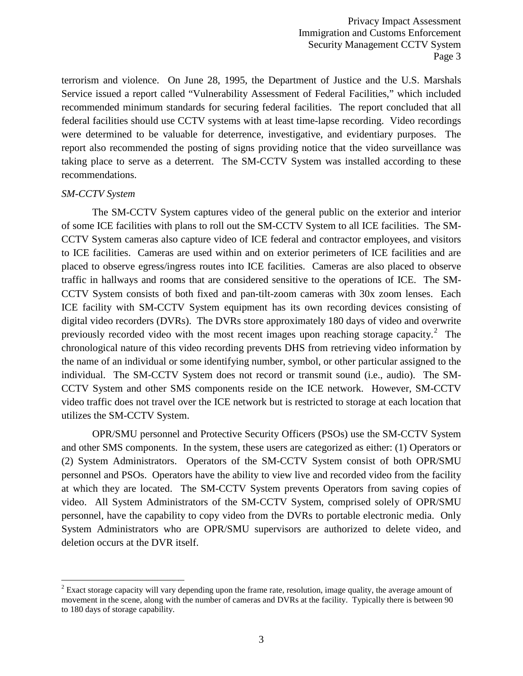terrorism and violence. On June 28, 1995, the Department of Justice and the U.S. Marshals Service issued a report called "Vulnerability Assessment of Federal Facilities," which included recommended minimum standards for securing federal facilities. The report concluded that all federal facilities should use CCTV systems with at least time-lapse recording. Video recordings were determined to be valuable for deterrence, investigative, and evidentiary purposes. The report also recommended the posting of signs providing notice that the video surveillance was taking place to serve as a deterrent. The SM-CCTV System was installed according to these recommendations.

#### *SM-CCTV System*

The SM-CCTV System captures video of the general public on the exterior and interior of some ICE facilities with plans to roll out the SM-CCTV System to all ICE facilities. The SM-CCTV System cameras also capture video of ICE federal and contractor employees, and visitors to ICE facilities. Cameras are used within and on exterior perimeters of ICE facilities and are placed to observe egress/ingress routes into ICE facilities. Cameras are also placed to observe traffic in hallways and rooms that are considered sensitive to the operations of ICE. The SM-CCTV System consists of both fixed and pan-tilt-zoom cameras with 30x zoom lenses. Each ICE facility with SM-CCTV System equipment has its own recording devices consisting of digital video recorders (DVRs). The DVRs store approximately 180 days of video and overwrite previously recorded video with the most recent images upon reaching storage capacity. $2$  The chronological nature of this video recording prevents DHS from retrieving video information by the name of an individual or some identifying number, symbol, or other particular assigned to the individual. The SM-CCTV System does not record or transmit sound (i.e., audio). The SM-CCTV System and other SMS components reside on the ICE network. However, SM-CCTV video traffic does not travel over the ICE network but is restricted to storage at each location that utilizes the SM-CCTV System.

OPR/SMU personnel and Protective Security Officers (PSOs) use the SM-CCTV System and other SMS components. In the system, these users are categorized as either: (1) Operators or (2) System Administrators. Operators of the SM-CCTV System consist of both OPR/SMU personnel and PSOs. Operators have the ability to view live and recorded video from the facility at which they are located. The SM-CCTV System prevents Operators from saving copies of video. All System Administrators of the SM-CCTV System, comprised solely of OPR/SMU personnel, have the capability to copy video from the DVRs to portable electronic media. Only System Administrators who are OPR/SMU supervisors are authorized to delete video, and deletion occurs at the DVR itself.

<span id="page-2-0"></span><sup>&</sup>lt;sup>2</sup> Exact storage capacity will vary depending upon the frame rate, resolution, image quality, the average amount of movement in the scene, along with the number of cameras and DVRs at the facility. Typically there is between 90 to 180 days of storage capability.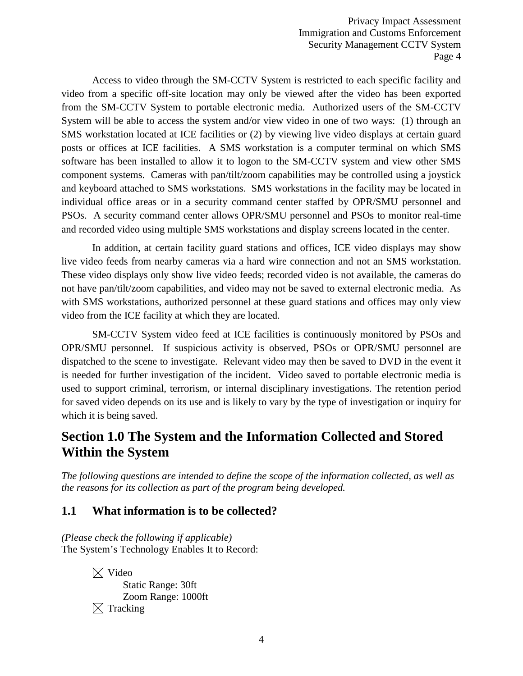Access to video through the SM-CCTV System is restricted to each specific facility and video from a specific off-site location may only be viewed after the video has been exported from the SM-CCTV System to portable electronic media. Authorized users of the SM-CCTV System will be able to access the system and/or view video in one of two ways: (1) through an SMS workstation located at ICE facilities or (2) by viewing live video displays at certain guard posts or offices at ICE facilities. A SMS workstation is a computer terminal on which SMS software has been installed to allow it to logon to the SM-CCTV system and view other SMS component systems. Cameras with pan/tilt/zoom capabilities may be controlled using a joystick and keyboard attached to SMS workstations. SMS workstations in the facility may be located in individual office areas or in a security command center staffed by OPR/SMU personnel and PSOs. A security command center allows OPR/SMU personnel and PSOs to monitor real-time and recorded video using multiple SMS workstations and display screens located in the center.

In addition, at certain facility guard stations and offices, ICE video displays may show live video feeds from nearby cameras via a hard wire connection and not an SMS workstation. These video displays only show live video feeds; recorded video is not available, the cameras do not have pan/tilt/zoom capabilities, and video may not be saved to external electronic media. As with SMS workstations, authorized personnel at these guard stations and offices may only view video from the ICE facility at which they are located.

SM-CCTV System video feed at ICE facilities is continuously monitored by PSOs and OPR/SMU personnel. If suspicious activity is observed, PSOs or OPR/SMU personnel are dispatched to the scene to investigate. Relevant video may then be saved to DVD in the event it is needed for further investigation of the incident. Video saved to portable electronic media is used to support criminal, terrorism, or internal disciplinary investigations. The retention period for saved video depends on its use and is likely to vary by the type of investigation or inquiry for which it is being saved.

## **Section 1.0 The System and the Information Collected and Stored Within the System**

*The following questions are intended to define the scope of the information collected, as well as the reasons for its collection as part of the program being developed.*

#### **1.1 What information is to be collected?**

*(Please check the following if applicable)* The System's Technology Enables It to Record:

> $\boxtimes$  Video Static Range: 30ft Zoom Range: 1000ft  $\boxtimes$  Tracking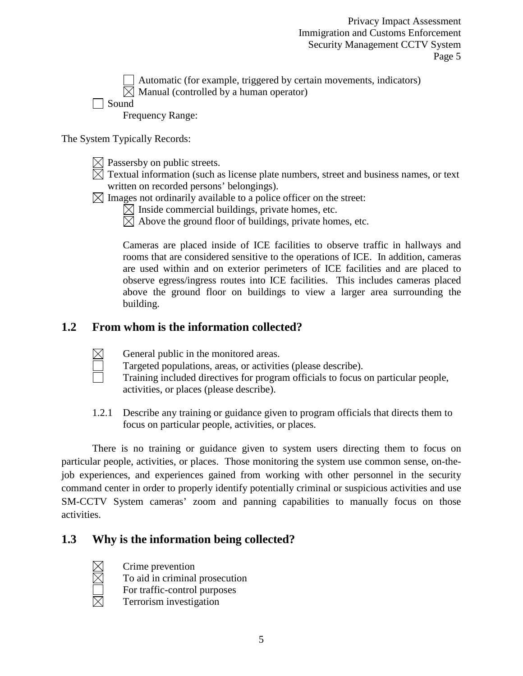Automatic (for example, triggered by certain movements, indicators)  $\boxtimes$  Manual (controlled by a human operator)

Sound

Frequency Range:

The System Typically Records:

- $\boxtimes$  Passersby on public streets.
- $\boxtimes$  Textual information (such as license plate numbers, street and business names, or text written on recorded persons' belongings).
- $\boxtimes$  Images not ordinarily available to a police officer on the street:
	- $\boxtimes$  Inside commercial buildings, private homes, etc.
	- $\boxtimes$  Above the ground floor of buildings, private homes, etc.

Cameras are placed inside of ICE facilities to observe traffic in hallways and rooms that are considered sensitive to the operations of ICE. In addition, cameras are used within and on exterior perimeters of ICE facilities and are placed to observe egress/ingress routes into ICE facilities. This includes cameras placed above the ground floor on buildings to view a larger area surrounding the building.

#### **1.2 From whom is the information collected?**



General public in the monitored areas.

Targeted populations, areas, or activities (please describe).

- Training included directives for program officials to focus on particular people, activities, or places (please describe).
- 1.2.1 Describe any training or guidance given to program officials that directs them to focus on particular people, activities, or places.

There is no training or guidance given to system users directing them to focus on particular people, activities, or places. Those monitoring the system use common sense, on-thejob experiences, and experiences gained from working with other personnel in the security command center in order to properly identify potentially criminal or suspicious activities and use SM-CCTV System cameras' zoom and panning capabilities to manually focus on those activities.

#### **1.3 Why is the information being collected?**

Crime prevention

To aid in criminal prosecution

- For traffic-control purposes
- Terrorism investigation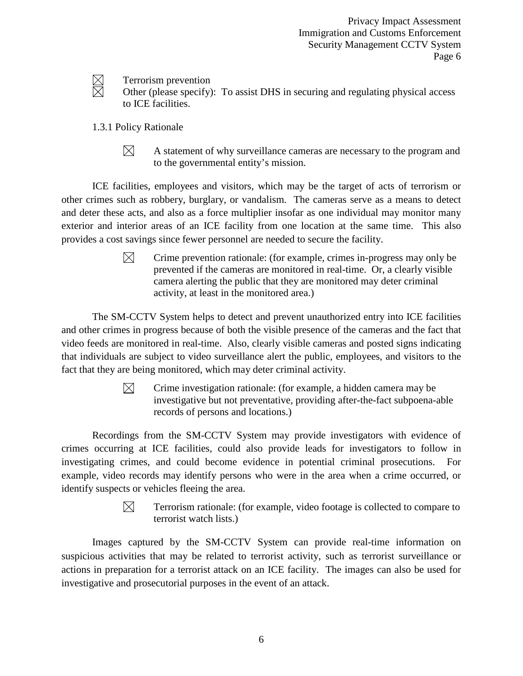

Terrorism prevention

- Other (please specify): To assist DHS in securing and regulating physical access to ICE facilities.
- 1.3.1 Policy Rationale
	- $\boxtimes$ A statement of why surveillance cameras are necessary to the program and to the governmental entity's mission.

ICE facilities, employees and visitors, which may be the target of acts of terrorism or other crimes such as robbery, burglary, or vandalism. The cameras serve as a means to detect and deter these acts, and also as a force multiplier insofar as one individual may monitor many exterior and interior areas of an ICE facility from one location at the same time. This also provides a cost savings since fewer personnel are needed to secure the facility.

> $\boxtimes$ Crime prevention rationale: (for example, crimes in-progress may only be prevented if the cameras are monitored in real-time. Or, a clearly visible camera alerting the public that they are monitored may deter criminal activity, at least in the monitored area.)

The SM-CCTV System helps to detect and prevent unauthorized entry into ICE facilities and other crimes in progress because of both the visible presence of the cameras and the fact that video feeds are monitored in real-time. Also, clearly visible cameras and posted signs indicating that individuals are subject to video surveillance alert the public, employees, and visitors to the fact that they are being monitored, which may deter criminal activity.

> $\bowtie$ Crime investigation rationale: (for example, a hidden camera may be investigative but not preventative, providing after-the-fact subpoena-able records of persons and locations.)

Recordings from the SM-CCTV System may provide investigators with evidence of crimes occurring at ICE facilities, could also provide leads for investigators to follow in investigating crimes, and could become evidence in potential criminal prosecutions. For example, video records may identify persons who were in the area when a crime occurred, or identify suspects or vehicles fleeing the area.

> $\boxtimes$ Terrorism rationale: (for example, video footage is collected to compare to terrorist watch lists.)

Images captured by the SM-CCTV System can provide real-time information on suspicious activities that may be related to terrorist activity, such as terrorist surveillance or actions in preparation for a terrorist attack on an ICE facility. The images can also be used for investigative and prosecutorial purposes in the event of an attack.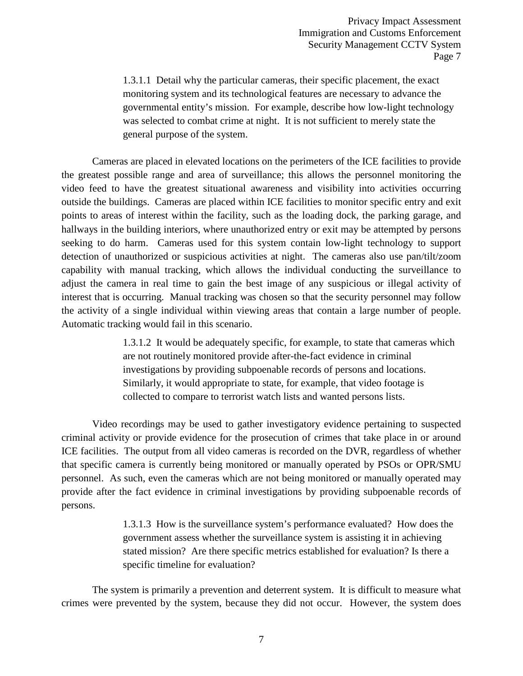1.3.1.1 Detail why the particular cameras, their specific placement, the exact monitoring system and its technological features are necessary to advance the governmental entity's mission. For example, describe how low-light technology was selected to combat crime at night. It is not sufficient to merely state the general purpose of the system.

Cameras are placed in elevated locations on the perimeters of the ICE facilities to provide the greatest possible range and area of surveillance; this allows the personnel monitoring the video feed to have the greatest situational awareness and visibility into activities occurring outside the buildings. Cameras are placed within ICE facilities to monitor specific entry and exit points to areas of interest within the facility, such as the loading dock, the parking garage, and hallways in the building interiors, where unauthorized entry or exit may be attempted by persons seeking to do harm. Cameras used for this system contain low-light technology to support detection of unauthorized or suspicious activities at night. The cameras also use pan/tilt/zoom capability with manual tracking, which allows the individual conducting the surveillance to adjust the camera in real time to gain the best image of any suspicious or illegal activity of interest that is occurring. Manual tracking was chosen so that the security personnel may follow the activity of a single individual within viewing areas that contain a large number of people. Automatic tracking would fail in this scenario.

> 1.3.1.2 It would be adequately specific, for example, to state that cameras which are not routinely monitored provide after-the-fact evidence in criminal investigations by providing subpoenable records of persons and locations. Similarly, it would appropriate to state, for example, that video footage is collected to compare to terrorist watch lists and wanted persons lists.

Video recordings may be used to gather investigatory evidence pertaining to suspected criminal activity or provide evidence for the prosecution of crimes that take place in or around ICE facilities. The output from all video cameras is recorded on the DVR, regardless of whether that specific camera is currently being monitored or manually operated by PSOs or OPR/SMU personnel. As such, even the cameras which are not being monitored or manually operated may provide after the fact evidence in criminal investigations by providing subpoenable records of persons.

> 1.3.1.3 How is the surveillance system's performance evaluated? How does the government assess whether the surveillance system is assisting it in achieving stated mission? Are there specific metrics established for evaluation? Is there a specific timeline for evaluation?

The system is primarily a prevention and deterrent system. It is difficult to measure what crimes were prevented by the system, because they did not occur. However, the system does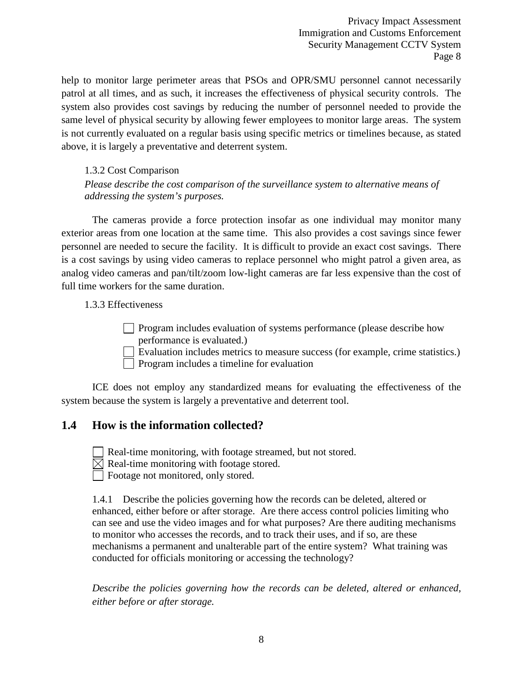help to monitor large perimeter areas that PSOs and OPR/SMU personnel cannot necessarily patrol at all times, and as such, it increases the effectiveness of physical security controls. The system also provides cost savings by reducing the number of personnel needed to provide the same level of physical security by allowing fewer employees to monitor large areas. The system is not currently evaluated on a regular basis using specific metrics or timelines because, as stated above, it is largely a preventative and deterrent system.

#### 1.3.2 Cost Comparison

*Please describe the cost comparison of the surveillance system to alternative means of addressing the system's purposes.* 

The cameras provide a force protection insofar as one individual may monitor many exterior areas from one location at the same time. This also provides a cost savings since fewer personnel are needed to secure the facility. It is difficult to provide an exact cost savings. There is a cost savings by using video cameras to replace personnel who might patrol a given area, as analog video cameras and pan/tilt/zoom low-light cameras are far less expensive than the cost of full time workers for the same duration.

1.3.3 Effectiveness

Program includes evaluation of systems performance (please describe how performance is evaluated.)

Evaluation includes metrics to measure success (for example, crime statistics.)

Program includes a timeline for evaluation

ICE does not employ any standardized means for evaluating the effectiveness of the system because the system is largely a preventative and deterrent tool.

#### **1.4 How is the information collected?**

Real-time monitoring, with footage streamed, but not stored.

 $\boxtimes$  Real-time monitoring with footage stored.

Footage not monitored, only stored.

1.4.1 Describe the policies governing how the records can be deleted, altered or enhanced, either before or after storage. Are there access control policies limiting who can see and use the video images and for what purposes? Are there auditing mechanisms to monitor who accesses the records, and to track their uses, and if so, are these mechanisms a permanent and unalterable part of the entire system? What training was conducted for officials monitoring or accessing the technology?

*Describe the policies governing how the records can be deleted, altered or enhanced, either before or after storage.*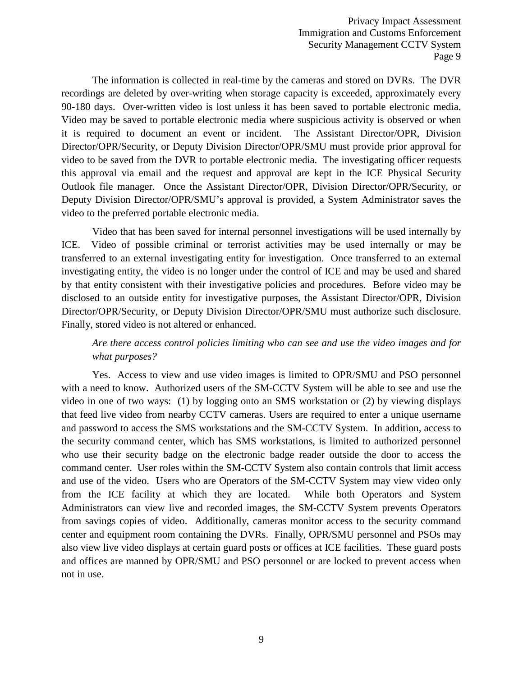The information is collected in real-time by the cameras and stored on DVRs. The DVR recordings are deleted by over-writing when storage capacity is exceeded, approximately every 90-180 days. Over-written video is lost unless it has been saved to portable electronic media. Video may be saved to portable electronic media where suspicious activity is observed or when it is required to document an event or incident. The Assistant Director/OPR, Division Director/OPR/Security, or Deputy Division Director/OPR/SMU must provide prior approval for video to be saved from the DVR to portable electronic media. The investigating officer requests this approval via email and the request and approval are kept in the ICE Physical Security Outlook file manager. Once the Assistant Director/OPR, Division Director/OPR/Security, or Deputy Division Director/OPR/SMU's approval is provided, a System Administrator saves the video to the preferred portable electronic media.

Video that has been saved for internal personnel investigations will be used internally by ICE. Video of possible criminal or terrorist activities may be used internally or may be transferred to an external investigating entity for investigation. Once transferred to an external investigating entity, the video is no longer under the control of ICE and may be used and shared by that entity consistent with their investigative policies and procedures. Before video may be disclosed to an outside entity for investigative purposes, the Assistant Director/OPR, Division Director/OPR/Security, or Deputy Division Director/OPR/SMU must authorize such disclosure. Finally, stored video is not altered or enhanced.

#### *Are there access control policies limiting who can see and use the video images and for what purposes?*

Yes. Access to view and use video images is limited to OPR/SMU and PSO personnel with a need to know. Authorized users of the SM-CCTV System will be able to see and use the video in one of two ways: (1) by logging onto an SMS workstation or (2) by viewing displays that feed live video from nearby CCTV cameras. Users are required to enter a unique username and password to access the SMS workstations and the SM-CCTV System. In addition, access to the security command center, which has SMS workstations, is limited to authorized personnel who use their security badge on the electronic badge reader outside the door to access the command center. User roles within the SM-CCTV System also contain controls that limit access and use of the video. Users who are Operators of the SM-CCTV System may view video only from the ICE facility at which they are located. While both Operators and System Administrators can view live and recorded images, the SM-CCTV System prevents Operators from savings copies of video. Additionally, cameras monitor access to the security command center and equipment room containing the DVRs. Finally, OPR/SMU personnel and PSOs may also view live video displays at certain guard posts or offices at ICE facilities. These guard posts and offices are manned by OPR/SMU and PSO personnel or are locked to prevent access when not in use.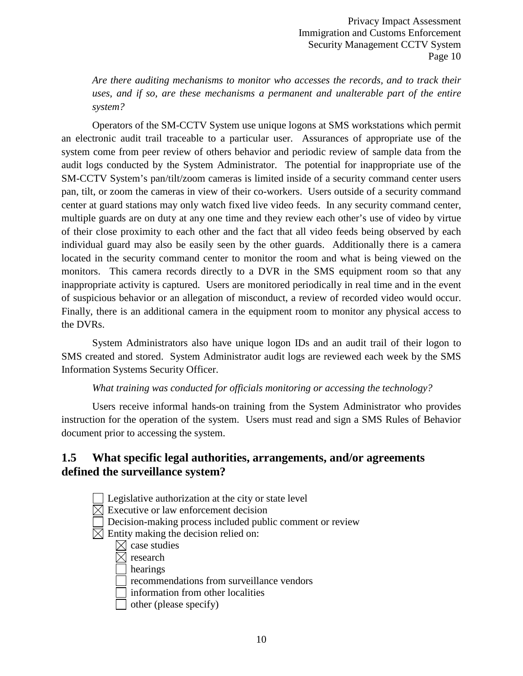*Are there auditing mechanisms to monitor who accesses the records, and to track their*  uses, and if so, are these mechanisms a permanent and unalterable part of the entire *system?*

Operators of the SM-CCTV System use unique logons at SMS workstations which permit an electronic audit trail traceable to a particular user. Assurances of appropriate use of the system come from peer review of others behavior and periodic review of sample data from the audit logs conducted by the System Administrator. The potential for inappropriate use of the SM-CCTV System's pan/tilt/zoom cameras is limited inside of a security command center users pan, tilt, or zoom the cameras in view of their co-workers. Users outside of a security command center at guard stations may only watch fixed live video feeds. In any security command center, multiple guards are on duty at any one time and they review each other's use of video by virtue of their close proximity to each other and the fact that all video feeds being observed by each individual guard may also be easily seen by the other guards. Additionally there is a camera located in the security command center to monitor the room and what is being viewed on the monitors. This camera records directly to a DVR in the SMS equipment room so that any inappropriate activity is captured. Users are monitored periodically in real time and in the event of suspicious behavior or an allegation of misconduct, a review of recorded video would occur. Finally, there is an additional camera in the equipment room to monitor any physical access to the DVRs.

System Administrators also have unique logon IDs and an audit trail of their logon to SMS created and stored. System Administrator audit logs are reviewed each week by the SMS Information Systems Security Officer.

#### *What training was conducted for officials monitoring or accessing the technology?*

Users receive informal hands-on training from the System Administrator who provides instruction for the operation of the system. Users must read and sign a SMS Rules of Behavior document prior to accessing the system.

#### **1.5 What specific legal authorities, arrangements, and/or agreements defined the surveillance system?**

- Legislative authorization at the city or state level
- $\boxtimes$  Executive or law enforcement decision
- Decision-making process included public comment or review
- $\boxtimes$  Entity making the decision relied on:
	- $\boxtimes$  case studies
	- $\times$  research
	- hearings
	- recommendations from surveillance vendors
	- information from other localities
	- other (please specify)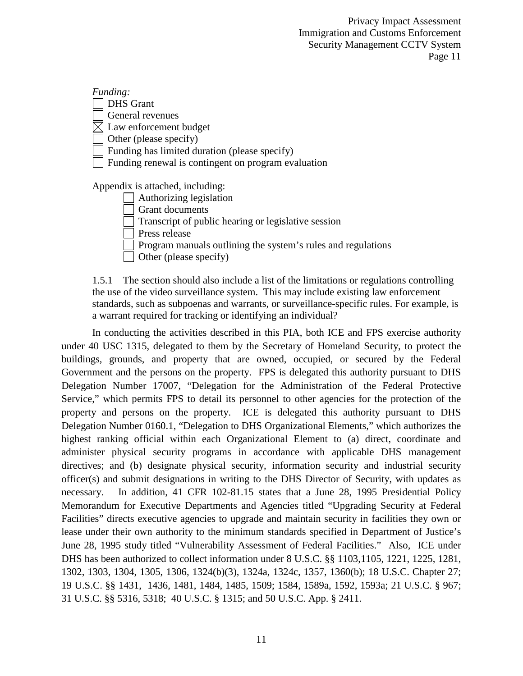*Funding:* DHS Grant General revenues  $\boxtimes$  Law enforcement budget Other (please specify) Funding has limited duration (please specify) Funding renewal is contingent on program evaluation

Appendix is attached, including:

Authorizing legislation

Grant documents

Transcript of public hearing or legislative session

Press release

Program manuals outlining the system's rules and regulations

Other (please specify)

1.5.1 The section should also include a list of the limitations or regulations controlling the use of the video surveillance system. This may include existing law enforcement standards, such as subpoenas and warrants, or surveillance-specific rules. For example, is a warrant required for tracking or identifying an individual?

In conducting the activities described in this PIA, both ICE and FPS exercise authority under 40 USC 1315, delegated to them by the Secretary of Homeland Security, to protect the buildings, grounds, and property that are owned, occupied, or secured by the Federal Government and the persons on the property. FPS is delegated this authority pursuant to DHS Delegation Number 17007, "Delegation for the Administration of the Federal Protective Service," which permits FPS to detail its personnel to other agencies for the protection of the property and persons on the property. ICE is delegated this authority pursuant to DHS Delegation Number 0160.1, "Delegation to DHS Organizational Elements," which authorizes the highest ranking official within each Organizational Element to (a) direct, coordinate and administer physical security programs in accordance with applicable DHS management directives; and (b) designate physical security, information security and industrial security officer(s) and submit designations in writing to the DHS Director of Security, with updates as necessary. In addition, 41 CFR 102-81.15 states that a June 28, 1995 Presidential Policy Memorandum for Executive Departments and Agencies titled "Upgrading Security at Federal Facilities" directs executive agencies to upgrade and maintain security in facilities they own or lease under their own authority to the minimum standards specified in Department of Justice's June 28, 1995 study titled "Vulnerability Assessment of Federal Facilities." Also, ICE under DHS has been authorized to collect information under 8 U.S.C. §§ 1103,1105, 1221, 1225, 1281, 1302, 1303, 1304, 1305, 1306, 1324(b)(3), 1324a, 1324c, 1357, 1360(b); 18 U.S.C. Chapter 27; 19 U.S.C. §§ 1431, 1436, 1481, 1484, 1485, 1509; 1584, 1589a, 1592, 1593a; 21 U.S.C. § 967; 31 U.S.C. §§ 5316, 5318; 40 U.S.C. § 1315; and 50 U.S.C. App. § 2411.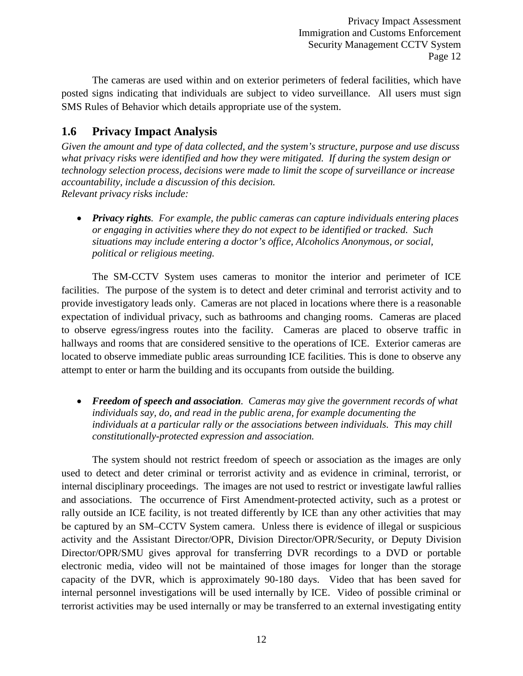The cameras are used within and on exterior perimeters of federal facilities, which have posted signs indicating that individuals are subject to video surveillance. All users must sign SMS Rules of Behavior which details appropriate use of the system.

#### **1.6 Privacy Impact Analysis**

*Given the amount and type of data collected, and the system's structure, purpose and use discuss what privacy risks were identified and how they were mitigated. If during the system design or technology selection process, decisions were made to limit the scope of surveillance or increase accountability, include a discussion of this decision. Relevant privacy risks include:*

• *Privacy rights. For example, the public cameras can capture individuals entering places or engaging in activities where they do not expect to be identified or tracked. Such situations may include entering a doctor's office, Alcoholics Anonymous, or social, political or religious meeting.* 

The SM-CCTV System uses cameras to monitor the interior and perimeter of ICE facilities. The purpose of the system is to detect and deter criminal and terrorist activity and to provide investigatory leads only. Cameras are not placed in locations where there is a reasonable expectation of individual privacy, such as bathrooms and changing rooms. Cameras are placed to observe egress/ingress routes into the facility. Cameras are placed to observe traffic in hallways and rooms that are considered sensitive to the operations of ICE. Exterior cameras are located to observe immediate public areas surrounding ICE facilities. This is done to observe any attempt to enter or harm the building and its occupants from outside the building.

• *Freedom of speech and association. Cameras may give the government records of what individuals say, do, and read in the public arena, for example documenting the individuals at a particular rally or the associations between individuals. This may chill constitutionally-protected expression and association.*

The system should not restrict freedom of speech or association as the images are only used to detect and deter criminal or terrorist activity and as evidence in criminal, terrorist, or internal disciplinary proceedings. The images are not used to restrict or investigate lawful rallies and associations. The occurrence of First Amendment-protected activity, such as a protest or rally outside an ICE facility, is not treated differently by ICE than any other activities that may be captured by an SM–CCTV System camera. Unless there is evidence of illegal or suspicious activity and the Assistant Director/OPR, Division Director/OPR/Security, or Deputy Division Director/OPR/SMU gives approval for transferring DVR recordings to a DVD or portable electronic media, video will not be maintained of those images for longer than the storage capacity of the DVR, which is approximately 90-180 days. Video that has been saved for internal personnel investigations will be used internally by ICE. Video of possible criminal or terrorist activities may be used internally or may be transferred to an external investigating entity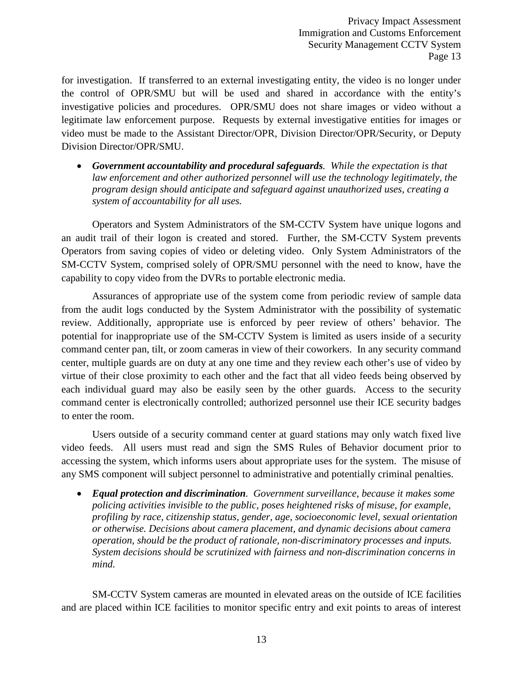for investigation. If transferred to an external investigating entity, the video is no longer under the control of OPR/SMU but will be used and shared in accordance with the entity's investigative policies and procedures. OPR/SMU does not share images or video without a legitimate law enforcement purpose. Requests by external investigative entities for images or video must be made to the Assistant Director/OPR, Division Director/OPR/Security, or Deputy Division Director/OPR/SMU.

• *Government accountability and procedural safeguards. While the expectation is that law enforcement and other authorized personnel will use the technology legitimately, the program design should anticipate and safeguard against unauthorized uses, creating a system of accountability for all uses.*

Operators and System Administrators of the SM-CCTV System have unique logons and an audit trail of their logon is created and stored. Further, the SM-CCTV System prevents Operators from saving copies of video or deleting video. Only System Administrators of the SM-CCTV System, comprised solely of OPR/SMU personnel with the need to know, have the capability to copy video from the DVRs to portable electronic media.

Assurances of appropriate use of the system come from periodic review of sample data from the audit logs conducted by the System Administrator with the possibility of systematic review. Additionally, appropriate use is enforced by peer review of others' behavior. The potential for inappropriate use of the SM-CCTV System is limited as users inside of a security command center pan, tilt, or zoom cameras in view of their coworkers. In any security command center, multiple guards are on duty at any one time and they review each other's use of video by virtue of their close proximity to each other and the fact that all video feeds being observed by each individual guard may also be easily seen by the other guards. Access to the security command center is electronically controlled; authorized personnel use their ICE security badges to enter the room.

Users outside of a security command center at guard stations may only watch fixed live video feeds. All users must read and sign the SMS Rules of Behavior document prior to accessing the system, which informs users about appropriate uses for the system. The misuse of any SMS component will subject personnel to administrative and potentially criminal penalties.

• *Equal protection and discrimination. Government surveillance, because it makes some policing activities invisible to the public, poses heightened risks of misuse, for example, profiling by race, citizenship status, gender, age, socioeconomic level, sexual orientation or otherwise. Decisions about camera placement, and dynamic decisions about camera operation, should be the product of rationale, non-discriminatory processes and inputs. System decisions should be scrutinized with fairness and non-discrimination concerns in mind.*

SM-CCTV System cameras are mounted in elevated areas on the outside of ICE facilities and are placed within ICE facilities to monitor specific entry and exit points to areas of interest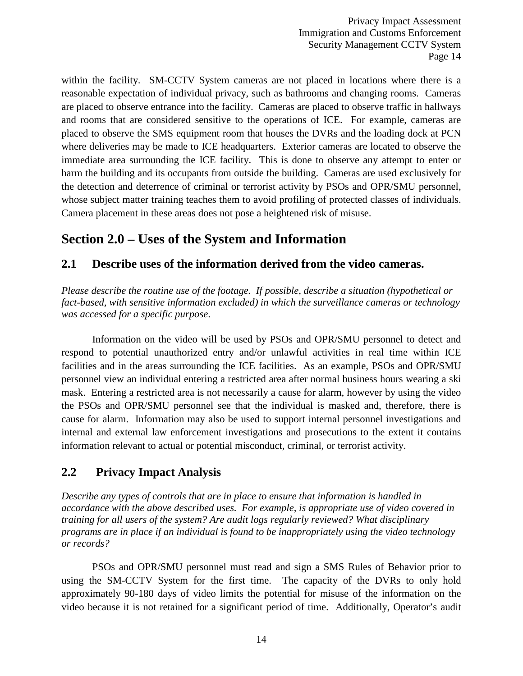within the facility. SM-CCTV System cameras are not placed in locations where there is a reasonable expectation of individual privacy, such as bathrooms and changing rooms. Cameras are placed to observe entrance into the facility. Cameras are placed to observe traffic in hallways and rooms that are considered sensitive to the operations of ICE. For example, cameras are placed to observe the SMS equipment room that houses the DVRs and the loading dock at PCN where deliveries may be made to ICE headquarters. Exterior cameras are located to observe the immediate area surrounding the ICE facility. This is done to observe any attempt to enter or harm the building and its occupants from outside the building. Cameras are used exclusively for the detection and deterrence of criminal or terrorist activity by PSOs and OPR/SMU personnel, whose subject matter training teaches them to avoid profiling of protected classes of individuals. Camera placement in these areas does not pose a heightened risk of misuse.

## **Section 2.0 – Uses of the System and Information**

#### **2.1 Describe uses of the information derived from the video cameras.**

*Please describe the routine use of the footage. If possible, describe a situation (hypothetical or fact-based, with sensitive information excluded) in which the surveillance cameras or technology was accessed for a specific purpose*.

Information on the video will be used by PSOs and OPR/SMU personnel to detect and respond to potential unauthorized entry and/or unlawful activities in real time within ICE facilities and in the areas surrounding the ICE facilities. As an example, PSOs and OPR/SMU personnel view an individual entering a restricted area after normal business hours wearing a ski mask. Entering a restricted area is not necessarily a cause for alarm, however by using the video the PSOs and OPR/SMU personnel see that the individual is masked and, therefore, there is cause for alarm. Information may also be used to support internal personnel investigations and internal and external law enforcement investigations and prosecutions to the extent it contains information relevant to actual or potential misconduct, criminal, or terrorist activity.

#### **2.2 Privacy Impact Analysis**

*Describe any types of controls that are in place to ensure that information is handled in accordance with the above described uses. For example, is appropriate use of video covered in training for all users of the system? Are audit logs regularly reviewed? What disciplinary programs are in place if an individual is found to be inappropriately using the video technology or records?*

PSOs and OPR/SMU personnel must read and sign a SMS Rules of Behavior prior to using the SM-CCTV System for the first time. The capacity of the DVRs to only hold approximately 90-180 days of video limits the potential for misuse of the information on the video because it is not retained for a significant period of time. Additionally, Operator's audit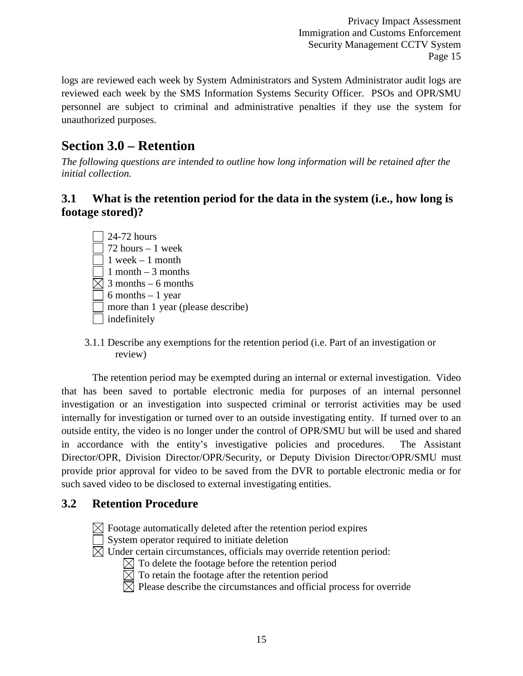logs are reviewed each week by System Administrators and System Administrator audit logs are reviewed each week by the SMS Information Systems Security Officer. PSOs and OPR/SMU personnel are subject to criminal and administrative penalties if they use the system for unauthorized purposes.

## **Section 3.0 – Retention**

*The following questions are intended to outline how long information will be retained after the initial collection.*

#### **3.1 What is the retention period for the data in the system (i.e., how long is footage stored)?**

- 24-72 hours 72 hours – 1 week  $\Box$  1 week – 1 month  $\sqrt{1}$  month – 3 months  $\boxtimes$  3 months – 6 months  $\sqrt{6}$  months – 1 year more than 1 year (please describe) | indefinitely
- 3.1.1 Describe any exemptions for the retention period (i.e. Part of an investigation or review)

The retention period may be exempted during an internal or external investigation. Video that has been saved to portable electronic media for purposes of an internal personnel investigation or an investigation into suspected criminal or terrorist activities may be used internally for investigation or turned over to an outside investigating entity. If turned over to an outside entity, the video is no longer under the control of OPR/SMU but will be used and shared in accordance with the entity's investigative policies and procedures. The Assistant Director/OPR, Division Director/OPR/Security, or Deputy Division Director/OPR/SMU must provide prior approval for video to be saved from the DVR to portable electronic media or for such saved video to be disclosed to external investigating entities.

#### **3.2 Retention Procedure**



 $\boxtimes$  Footage automatically deleted after the retention period expires

System operator required to initiate deletion

 $\boxtimes$  Under certain circumstances, officials may override retention period:

- $\boxtimes$  To delete the footage before the retention period
- $\overline{\boxtimes}$  To retain the footage after the retention period

 $\overline{\boxtimes}$  Please describe the circumstances and official process for override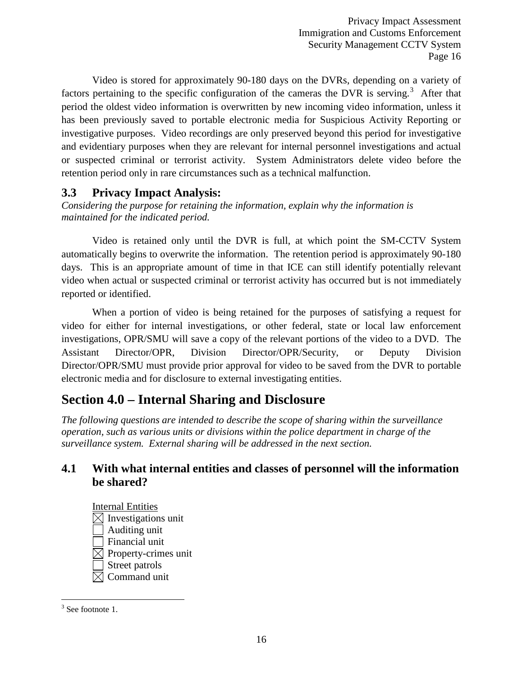Video is stored for approximately 90-180 days on the DVRs, depending on a variety of factors pertaining to the specific configuration of the cameras the DVR is serving.<sup>[3](#page-15-0)</sup> After that period the oldest video information is overwritten by new incoming video information, unless it has been previously saved to portable electronic media for Suspicious Activity Reporting or investigative purposes. Video recordings are only preserved beyond this period for investigative and evidentiary purposes when they are relevant for internal personnel investigations and actual or suspected criminal or terrorist activity. System Administrators delete video before the retention period only in rare circumstances such as a technical malfunction.

#### **3.3 Privacy Impact Analysis:**

*Considering the purpose for retaining the information, explain why the information is maintained for the indicated period.*

Video is retained only until the DVR is full, at which point the SM-CCTV System automatically begins to overwrite the information. The retention period is approximately 90-180 days. This is an appropriate amount of time in that ICE can still identify potentially relevant video when actual or suspected criminal or terrorist activity has occurred but is not immediately reported or identified.

When a portion of video is being retained for the purposes of satisfying a request for video for either for internal investigations, or other federal, state or local law enforcement investigations, OPR/SMU will save a copy of the relevant portions of the video to a DVD. The Assistant Director/OPR, Division Director/OPR/Security, or Deputy Division Director/OPR/SMU must provide prior approval for video to be saved from the DVR to portable electronic media and for disclosure to external investigating entities.

## **Section 4.0 – Internal Sharing and Disclosure**

*The following questions are intended to describe the scope of sharing within the surveillance operation, such as various units or divisions within the police department in charge of the surveillance system. External sharing will be addressed in the next section.*

#### **4.1 With what internal entities and classes of personnel will the information be shared?**

Internal Entities  $\boxtimes$  Investigations unit Auditing unit Financial unit  $\boxtimes$  Property-crimes unit Street patrols  $\boxtimes$  Command unit

<span id="page-15-0"></span> $3$  See footnote 1.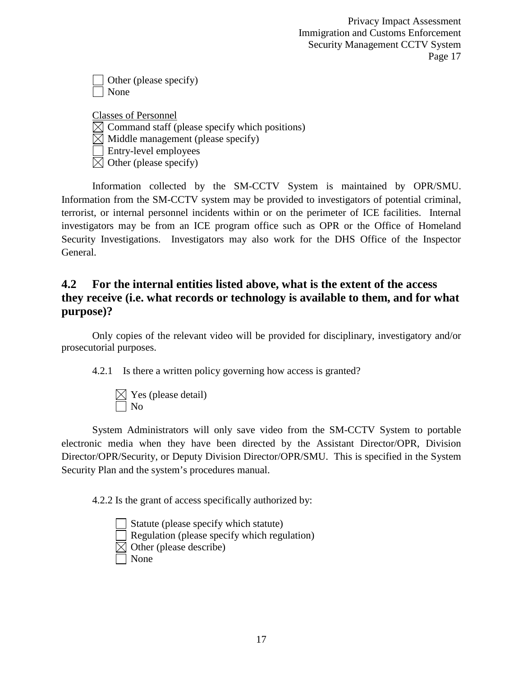| $\Box$ Other (please specify) |
|-------------------------------|
| $\Box$ None                   |

Classes of Personnel  $\boxtimes$  Command staff (please specify which positions)  $\boxtimes$  Middle management (please specify) Entry-level employees  $\boxtimes$  Other (please specify)

Information collected by the SM-CCTV System is maintained by OPR/SMU. Information from the SM-CCTV system may be provided to investigators of potential criminal, terrorist, or internal personnel incidents within or on the perimeter of ICE facilities. Internal investigators may be from an ICE program office such as OPR or the Office of Homeland Security Investigations. Investigators may also work for the DHS Office of the Inspector General.

#### **4.2 For the internal entities listed above, what is the extent of the access they receive (i.e. what records or technology is available to them, and for what purpose)?**

Only copies of the relevant video will be provided for disciplinary, investigatory and/or prosecutorial purposes.

4.2.1 Is there a written policy governing how access is granted?

 $\boxtimes$  Yes (please detail) No

System Administrators will only save video from the SM-CCTV System to portable electronic media when they have been directed by the Assistant Director/OPR, Division Director/OPR/Security, or Deputy Division Director/OPR/SMU. This is specified in the System Security Plan and the system's procedures manual.

4.2.2 Is the grant of access specifically authorized by:

Statute (please specify which statute) Regulation (please specify which regulation)  $\boxtimes$  Other (please describe) None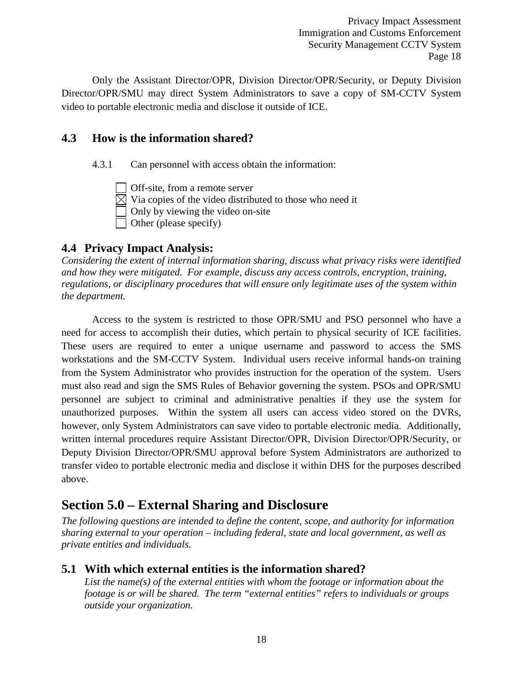Only the Assistant Director/OPR, Division Director/OPR/Security, or Deputy Division Director/OPR/SMU may direct System Administrators to save a copy of SM-CCTV System video to portable electronic media and disclose it outside of ICE.

#### **4.3 How is the information shared?**

4.3.1 Can personnel with access obtain the information:

Off-site, from a remote server  $\boxtimes$  Via copies of the video distributed to those who need it Only by viewing the video on-site Other (please specify)

#### **4.4 Privacy Impact Analysis:**

*Considering the extent of internal information sharing, discuss what privacy risks were identified and how they were mitigated. For example, discuss any access controls, encryption, training, regulations, or disciplinary procedures that will ensure only legitimate uses of the system within the department.*

Access to the system is restricted to those OPR/SMU and PSO personnel who have a need for access to accomplish their duties, which pertain to physical security of ICE facilities. These users are required to enter a unique username and password to access the SMS workstations and the SM-CCTV System. Individual users receive informal hands-on training from the System Administrator who provides instruction for the operation of the system. Users must also read and sign the SMS Rules of Behavior governing the system. PSOs and OPR/SMU personnel are subject to criminal and administrative penalties if they use the system for unauthorized purposes. Within the system all users can access video stored on the DVRs, however, only System Administrators can save video to portable electronic media. Additionally, written internal procedures require Assistant Director/OPR, Division Director/OPR/Security, or Deputy Division Director/OPR/SMU approval before System Administrators are authorized to transfer video to portable electronic media and disclose it within DHS for the purposes described above.

### **Section 5.0 – External Sharing and Disclosure**

*The following questions are intended to define the content, scope, and authority for information sharing external to your operation – including federal, state and local government, as well as private entities and individuals.*

#### **5.1 With which external entities is the information shared?**

*List the name(s) of the external entities with whom the footage or information about the footage is or will be shared. The term "external entities" refers to individuals or groups outside your organization.*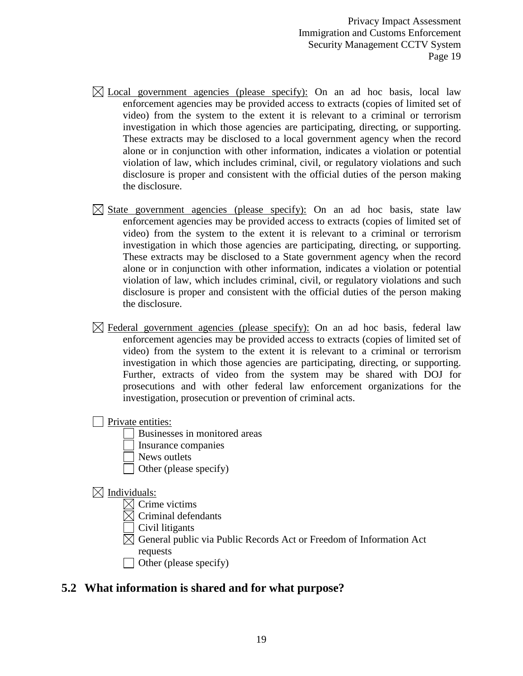- $\boxtimes$  Local government agencies (please specify): On an ad hoc basis, local law enforcement agencies may be provided access to extracts (copies of limited set of video) from the system to the extent it is relevant to a criminal or terrorism investigation in which those agencies are participating, directing, or supporting. These extracts may be disclosed to a local government agency when the record alone or in conjunction with other information, indicates a violation or potential violation of law, which includes criminal, civil, or regulatory violations and such disclosure is proper and consistent with the official duties of the person making the disclosure.
- $\boxtimes$  State government agencies (please specify): On an ad hoc basis, state law enforcement agencies may be provided access to extracts (copies of limited set of video) from the system to the extent it is relevant to a criminal or terrorism investigation in which those agencies are participating, directing, or supporting. These extracts may be disclosed to a State government agency when the record alone or in conjunction with other information, indicates a violation or potential violation of law, which includes criminal, civil, or regulatory violations and such disclosure is proper and consistent with the official duties of the person making the disclosure.
- $\boxtimes$  Federal government agencies (please specify): On an ad hoc basis, federal law enforcement agencies may be provided access to extracts (copies of limited set of video) from the system to the extent it is relevant to a criminal or terrorism investigation in which those agencies are participating, directing, or supporting. Further, extracts of video from the system may be shared with DOJ for prosecutions and with other federal law enforcement organizations for the investigation, prosecution or prevention of criminal acts.

**Private entities:** 

- Businesses in monitored areas
- Insurance companies
- News outlets
- Other (please specify)

#### $\boxtimes$  Individuals:

- $\boxtimes$  Crime victims
- $\boxtimes$  Criminal defendants
- Civil litigants
- $\boxtimes$  General public via Public Records Act or Freedom of Information Act requests
- $\Box$  Other (please specify)

#### **5.2 What information is shared and for what purpose?**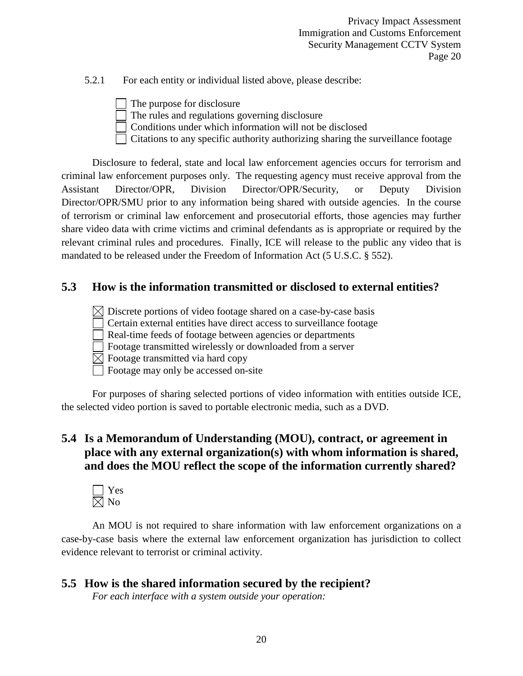5.2.1 For each entity or individual listed above, please describe:

The purpose for disclosure The rules and regulations governing disclosure Conditions under which information will not be disclosed Citations to any specific authority authorizing sharing the surveillance footage

Disclosure to federal, state and local law enforcement agencies occurs for terrorism and criminal law enforcement purposes only. The requesting agency must receive approval from the Assistant Director/OPR, Division Director/OPR/Security, or Deputy Division Director/OPR/SMU prior to any information being shared with outside agencies. In the course of terrorism or criminal law enforcement and prosecutorial efforts, those agencies may further share video data with crime victims and criminal defendants as is appropriate or required by the relevant criminal rules and procedures. Finally, ICE will release to the public any video that is mandated to be released under the Freedom of Information Act (5 U.S.C. § 552).

#### **5.3 How is the information transmitted or disclosed to external entities?**

 $\boxtimes$  Discrete portions of video footage shared on a case-by-case basis

Certain external entities have direct access to surveillance footage

Real-time feeds of footage between agencies or departments

Footage transmitted wirelessly or downloaded from a server

 $\boxtimes$  Footage transmitted via hard copy

Footage may only be accessed on-site

For purposes of sharing selected portions of video information with entities outside ICE, the selected video portion is saved to portable electronic media, such as a DVD.

#### **5.4 Is a Memorandum of Understanding (MOU), contract, or agreement in place with any external organization(s) with whom information is shared, and does the MOU reflect the scope of the information currently shared?**



An MOU is not required to share information with law enforcement organizations on a case-by-case basis where the external law enforcement organization has jurisdiction to collect evidence relevant to terrorist or criminal activity.

### **5.5 How is the shared information secured by the recipient?**

*For each interface with a system outside your operation:*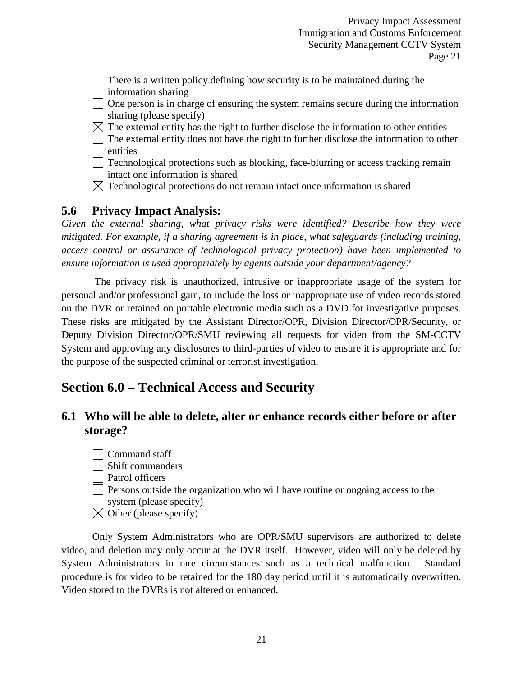- There is a written policy defining how security is to be maintained during the information sharing
- $\Box$  One person is in charge of ensuring the system remains secure during the information sharing (please specify)
- $\boxtimes$  The external entity has the right to further disclose the information to other entities
- $\Box$  The external entity does not have the right to further disclose the information to other entities
- Technological protections such as blocking, face-blurring or access tracking remain intact one information is shared
- $\boxtimes$  Technological protections do not remain intact once information is shared

#### **5.6 Privacy Impact Analysis:**

*Given the external sharing, what privacy risks were identified? Describe how they were mitigated. For example, if a sharing agreement is in place, what safeguards (including training, access control or assurance of technological privacy protection) have been implemented to ensure information is used appropriately by agents outside your department/agency?*

The privacy risk is unauthorized, intrusive or inappropriate usage of the system for personal and/or professional gain, to include the loss or inappropriate use of video records stored on the DVR or retained on portable electronic media such as a DVD for investigative purposes. These risks are mitigated by the Assistant Director/OPR, Division Director/OPR/Security, or Deputy Division Director/OPR/SMU reviewing all requests for video from the SM-CCTV System and approving any disclosures to third-parties of video to ensure it is appropriate and for the purpose of the suspected criminal or terrorist investigation.

### **Section 6.0 – Technical Access and Security**

#### **6.1 Who will be able to delete, alter or enhance records either before or after storage?**

Command staff Shift commanders Patrol officers Persons outside the organization who will have routine or ongoing access to the system (please specify)  $\boxtimes$  Other (please specify)

Only System Administrators who are OPR/SMU supervisors are authorized to delete video, and deletion may only occur at the DVR itself. However, video will only be deleted by System Administrators in rare circumstances such as a technical malfunction. Standard procedure is for video to be retained for the 180 day period until it is automatically overwritten. Video stored to the DVRs is not altered or enhanced.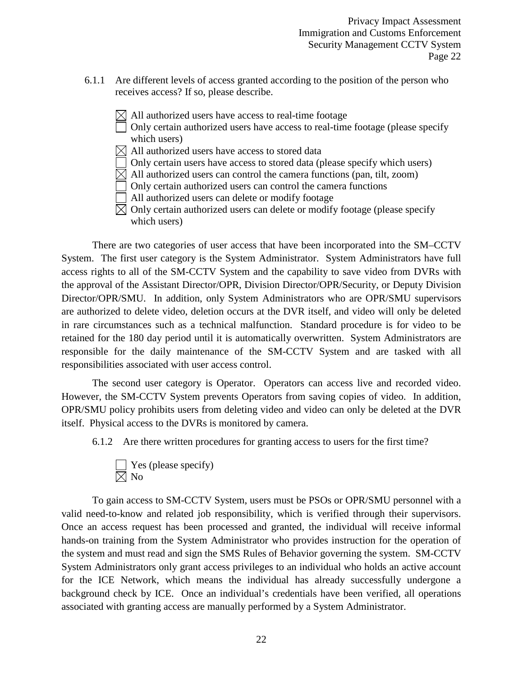- 6.1.1 Are different levels of access granted according to the position of the person who receives access? If so, please describe.
	- $\bowtie$  All authorized users have access to real-time footage
		- Only certain authorized users have access to real-time footage (please specify which users)
	- $\boxtimes$  All authorized users have access to stored data
	- Only certain users have access to stored data (please specify which users)
	- $\boxtimes$  All authorized users can control the camera functions (pan, tilt, zoom)
	- Only certain authorized users can control the camera functions
	- All authorized users can delete or modify footage
	- $\boxtimes$  Only certain authorized users can delete or modify footage (please specify which users)

There are two categories of user access that have been incorporated into the SM–CCTV System. The first user category is the System Administrator. System Administrators have full access rights to all of the SM-CCTV System and the capability to save video from DVRs with the approval of the Assistant Director/OPR, Division Director/OPR/Security, or Deputy Division Director/OPR/SMU. In addition, only System Administrators who are OPR/SMU supervisors are authorized to delete video, deletion occurs at the DVR itself, and video will only be deleted in rare circumstances such as a technical malfunction. Standard procedure is for video to be retained for the 180 day period until it is automatically overwritten. System Administrators are responsible for the daily maintenance of the SM-CCTV System and are tasked with all responsibilities associated with user access control.

The second user category is Operator. Operators can access live and recorded video. However, the SM-CCTV System prevents Operators from saving copies of video. In addition, OPR/SMU policy prohibits users from deleting video and video can only be deleted at the DVR itself. Physical access to the DVRs is monitored by camera.

6.1.2 Are there written procedures for granting access to users for the first time?

$$
\square
$$
 Yes (please specify)  

$$
\square
$$
 No

To gain access to SM-CCTV System, users must be PSOs or OPR/SMU personnel with a valid need-to-know and related job responsibility, which is verified through their supervisors. Once an access request has been processed and granted, the individual will receive informal hands-on training from the System Administrator who provides instruction for the operation of the system and must read and sign the SMS Rules of Behavior governing the system. SM-CCTV System Administrators only grant access privileges to an individual who holds an active account for the ICE Network, which means the individual has already successfully undergone a background check by ICE. Once an individual's credentials have been verified, all operations associated with granting access are manually performed by a System Administrator.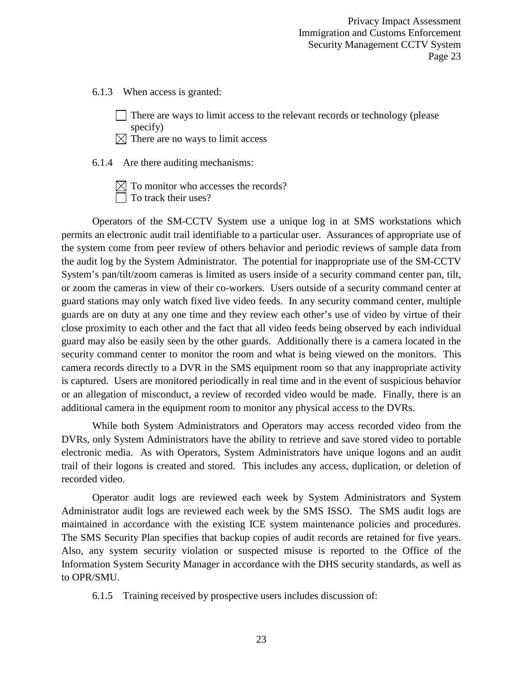6.1.3 When access is granted:

There are ways to limit access to the relevant records or technology (please specify)

 $\boxtimes$  There are no ways to limit access

6.1.4 Are there auditing mechanisms:

 $\boxtimes$  To monitor who accesses the records? To track their uses?

Operators of the SM-CCTV System use a unique log in at SMS workstations which permits an electronic audit trail identifiable to a particular user. Assurances of appropriate use of the system come from peer review of others behavior and periodic reviews of sample data from the audit log by the System Administrator. The potential for inappropriate use of the SM-CCTV System's pan/tilt/zoom cameras is limited as users inside of a security command center pan, tilt, or zoom the cameras in view of their co-workers. Users outside of a security command center at guard stations may only watch fixed live video feeds. In any security command center, multiple guards are on duty at any one time and they review each other's use of video by virtue of their close proximity to each other and the fact that all video feeds being observed by each individual guard may also be easily seen by the other guards. Additionally there is a camera located in the security command center to monitor the room and what is being viewed on the monitors. This camera records directly to a DVR in the SMS equipment room so that any inappropriate activity is captured. Users are monitored periodically in real time and in the event of suspicious behavior or an allegation of misconduct, a review of recorded video would be made. Finally, there is an additional camera in the equipment room to monitor any physical access to the DVRs.

While both System Administrators and Operators may access recorded video from the DVRs, only System Administrators have the ability to retrieve and save stored video to portable electronic media. As with Operators, System Administrators have unique logons and an audit trail of their logons is created and stored. This includes any access, duplication, or deletion of recorded video.

Operator audit logs are reviewed each week by System Administrators and System Administrator audit logs are reviewed each week by the SMS ISSO. The SMS audit logs are maintained in accordance with the existing ICE system maintenance policies and procedures. The SMS Security Plan specifies that backup copies of audit records are retained for five years. Also, any system security violation or suspected misuse is reported to the Office of the Information System Security Manager in accordance with the DHS security standards, as well as to OPR/SMU.

6.1.5 Training received by prospective users includes discussion of: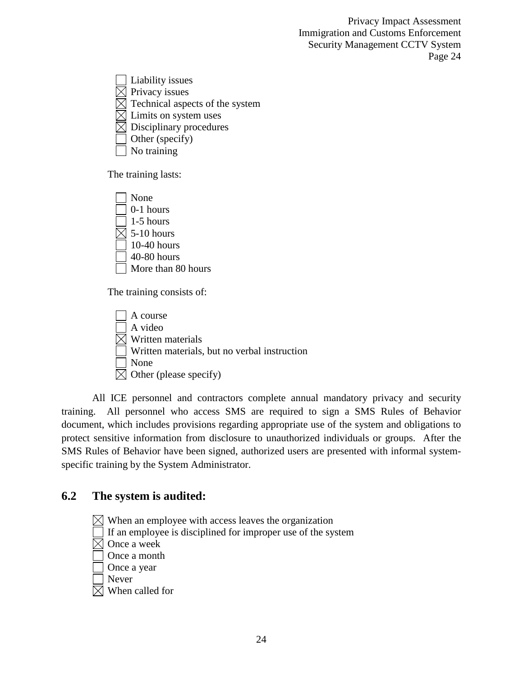Liability issues  $\boxtimes$  Privacy issues  $\boxtimes$  Technical aspects of the system  $\times$  Limits on system uses  $\boxtimes$  Disciplinary procedures Other (specify) No training

The training lasts:



The training consists of:

A course A video  $\boxtimes$  Written materials Written materials, but no verbal instruction None  $\boxtimes$  Other (please specify)

All ICE personnel and contractors complete annual mandatory privacy and security training. All personnel who access SMS are required to sign a SMS Rules of Behavior document, which includes provisions regarding appropriate use of the system and obligations to protect sensitive information from disclosure to unauthorized individuals or groups. After the SMS Rules of Behavior have been signed, authorized users are presented with informal systemspecific training by the System Administrator.

#### **6.2 The system is audited:**

 $\boxtimes$  When an employee with access leaves the organization If an employee is disciplined for improper use of the system  $\boxtimes$  Once a week Once a month Once a year Never  $\boxtimes$  When called for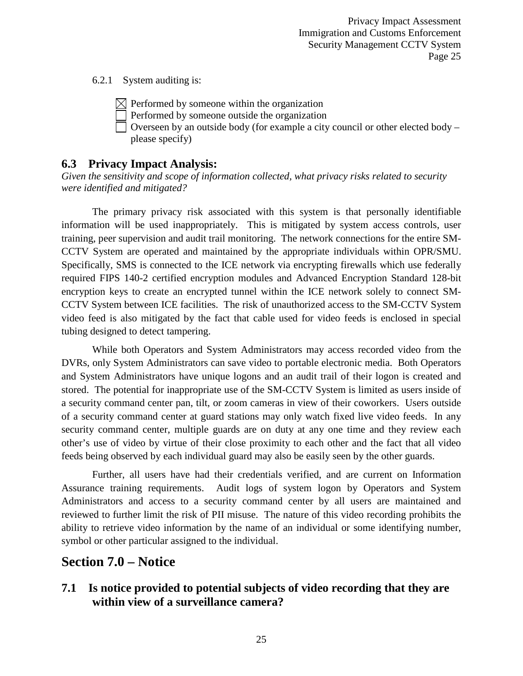6.2.1 System auditing is:

 $\boxtimes$  Performed by someone within the organization

Performed by someone outside the organization

Overseen by an outside body (for example a city council or other elected body – please specify)

#### **6.3 Privacy Impact Analysis:**

*Given the sensitivity and scope of information collected, what privacy risks related to security were identified and mitigated?*

The primary privacy risk associated with this system is that personally identifiable information will be used inappropriately. This is mitigated by system access controls, user training, peer supervision and audit trail monitoring. The network connections for the entire SM-CCTV System are operated and maintained by the appropriate individuals within OPR/SMU. Specifically, SMS is connected to the ICE network via encrypting firewalls which use federally required FIPS 140-2 certified encryption modules and Advanced Encryption Standard 128-bit encryption keys to create an encrypted tunnel within the ICE network solely to connect SM-CCTV System between ICE facilities. The risk of unauthorized access to the SM-CCTV System video feed is also mitigated by the fact that cable used for video feeds is enclosed in special tubing designed to detect tampering.

While both Operators and System Administrators may access recorded video from the DVRs, only System Administrators can save video to portable electronic media. Both Operators and System Administrators have unique logons and an audit trail of their logon is created and stored. The potential for inappropriate use of the SM-CCTV System is limited as users inside of a security command center pan, tilt, or zoom cameras in view of their coworkers. Users outside of a security command center at guard stations may only watch fixed live video feeds. In any security command center, multiple guards are on duty at any one time and they review each other's use of video by virtue of their close proximity to each other and the fact that all video feeds being observed by each individual guard may also be easily seen by the other guards.

Further, all users have had their credentials verified, and are current on Information Assurance training requirements. Audit logs of system logon by Operators and System Administrators and access to a security command center by all users are maintained and reviewed to further limit the risk of PII misuse. The nature of this video recording prohibits the ability to retrieve video information by the name of an individual or some identifying number, symbol or other particular assigned to the individual.

#### **Section 7.0 – Notice**

#### **7.1 Is notice provided to potential subjects of video recording that they are within view of a surveillance camera?**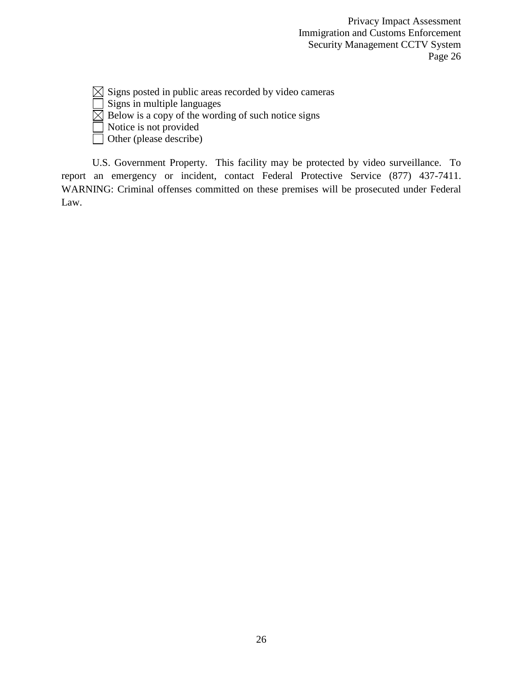$\boxtimes$  Signs posted in public areas recorded by video cameras

Signs in multiple languages

 $\boxtimes$  Below is a copy of the wording of such notice signs

Notice is not provided

Other (please describe)

U.S. Government Property. This facility may be protected by video surveillance. To report an emergency or incident, contact Federal Protective Service (877) 437-7411. WARNING: Criminal offenses committed on these premises will be prosecuted under Federal Law.